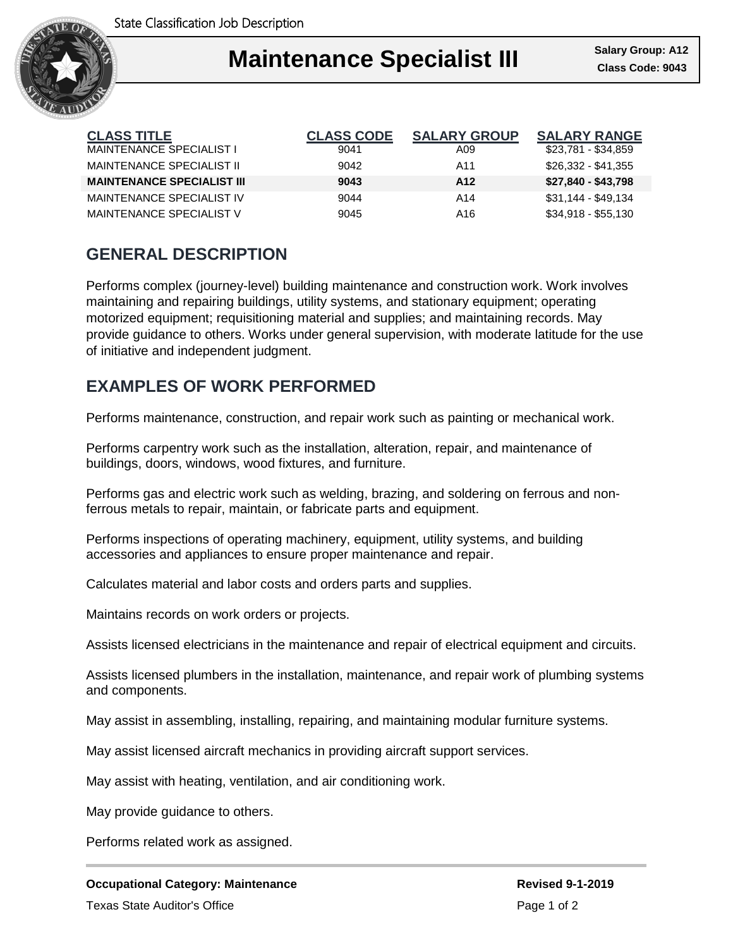

## I **Maintenance Specialist III** Salary Group: A12

| <b>CLASS TITLE</b>                | <b>CLASS CODE</b> | <b>SALARY GROUP</b> | <b>SALARY RANGE</b> |
|-----------------------------------|-------------------|---------------------|---------------------|
| <b>MAINTENANCE SPECIALIST I</b>   | 9041              | A09                 | \$23,781 - \$34,859 |
| MAINTENANCE SPECIALIST II         | 9042              | A11                 | \$26,332 - \$41,355 |
| <b>MAINTENANCE SPECIALIST III</b> | 9043              | A <sub>12</sub>     | $$27,840 - $43,798$ |
| MAINTENANCE SPECIALIST IV         | 9044              | A <sub>14</sub>     | $$31,144 - $49,134$ |
| MAINTENANCE SPECIALIST V          | 9045              | A16                 | $$34,918 - $55,130$ |

## **GENERAL DESCRIPTION**

Performs complex (journey-level) building maintenance and construction work. Work involves maintaining and repairing buildings, utility systems, and stationary equipment; operating motorized equipment; requisitioning material and supplies; and maintaining records. May provide guidance to others. Works under general supervision, with moderate latitude for the use of initiative and independent judgment.

## **EXAMPLES OF WORK PERFORMED**

Performs maintenance, construction, and repair work such as painting or mechanical work.

Performs carpentry work such as the installation, alteration, repair, and maintenance of buildings, doors, windows, wood fixtures, and furniture.

Performs gas and electric work such as welding, brazing, and soldering on ferrous and nonferrous metals to repair, maintain, or fabricate parts and equipment.

Performs inspections of operating machinery, equipment, utility systems, and building accessories and appliances to ensure proper maintenance and repair.

Calculates material and labor costs and orders parts and supplies.

Maintains records on work orders or projects.

Assists licensed electricians in the maintenance and repair of electrical equipment and circuits.

Assists licensed plumbers in the installation, maintenance, and repair work of plumbing systems and components.

May assist in assembling, installing, repairing, and maintaining modular furniture systems.

May assist licensed aircraft mechanics in providing aircraft support services.

May assist with heating, ventilation, and air conditioning work.

May provide guidance to others.

Performs related work as assigned.

Texas State Auditor's Office **Page 1 of 2** and 2